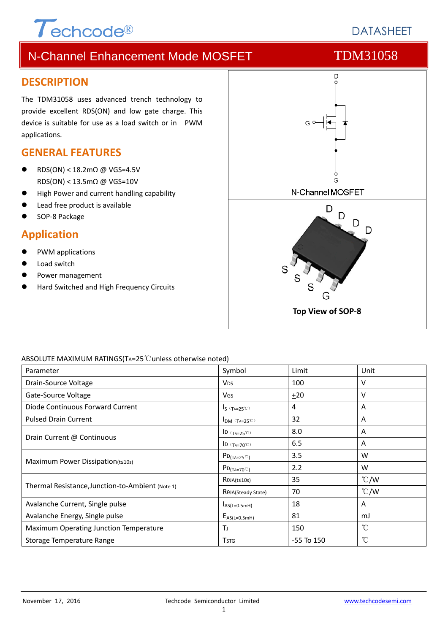# $\tau$ echcode®

# **DATASHEFT**

# N-Channel Enhancement Mode MOSFET TDM31058

### **DESCRIPTION**

The TDM31058 uses advanced trench technology to provide excellent RDS(ON) and low gate charge. This device is suitable for use as a load switch or in PWM applications.

## **GENERAL FEATURES**

- RDS(ON) < 18.2mΩ @ VGS=4.5V RDS(ON) < 13.5mΩ @ VGS=10V
- High Power and current handling capability
- Lead free product is available
- SOP‐8 Package

### **Application**

- PWM applications
- Load switch
- Power management
- Hard Switched and High Frequency Circuits



### ABSOLUTE MAXIMUM RATINGS(TA=25℃unless otherwise noted)

| Parameter                                        | Symbol                          | Limit          | Unit          |
|--------------------------------------------------|---------------------------------|----------------|---------------|
| Drain-Source Voltage                             | <b>V<sub>DS</sub></b>           | 100            | v             |
| Gate-Source Voltage                              | <b>V<sub>GS</sub></b>           | ±20            | v             |
| Diode Continuous Forward Current                 | $I_S$ ( $T_A=25^\circ$ )        | 4              | A             |
| <b>Pulsed Drain Current</b>                      | $I_{DM}$ (TA=25°C)              | 32             | Α             |
|                                                  | ID $(T_{A=25}^\circ\text{C})$   | 8.0            | A             |
| Drain Current @ Continuous                       | ID $(T_{A=70}^\circ\text{C})$   | 6.5            | A             |
| Maximum Power Dissipation(t≤10s)                 | $PD_{(T_A=25^{\circ}C)}$        | 3.5            | W             |
|                                                  | $PD_{(Ta=70^{\circ}C)}$         | 2.2            | W             |
|                                                  | $R\theta$ JA(t≤10s)             | 35             | $\degree$ C/W |
| Thermal Resistance, Junction-to-Ambient (Note 1) | R <sub>OJ</sub> A(Steady State) | 70             | $\degree$ C/W |
| Avalanche Current, Single pulse                  | $I_{AS(L=0.5mH)}$               | 18             | A             |
| Avalanche Energy, Single pulse                   | $E_{AS(L=0.5mH)}$               | 81             | mJ            |
| Maximum Operating Junction Temperature           | ΤJ                              | 150            | °C            |
| Storage Temperature Range                        | <b>T</b> stg                    | $-55$ To $150$ | $^{\circ}$ C  |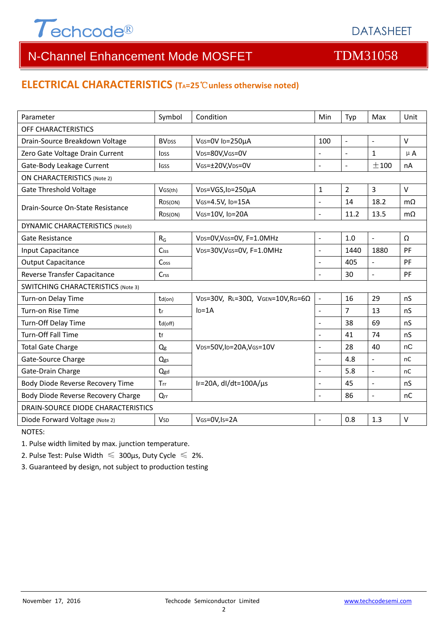

# **ELECTRICAL CHARACTERISTICS (TA=25**℃**unless otherwise noted)**

| Parameter                                 | Symbol                   | Condition                                         | Min                      | Typ            | Max                      | Unit      |  |  |
|-------------------------------------------|--------------------------|---------------------------------------------------|--------------------------|----------------|--------------------------|-----------|--|--|
| OFF CHARACTERISTICS                       |                          |                                                   |                          |                |                          |           |  |  |
| Drain-Source Breakdown Voltage            | <b>BV</b> <sub>DSS</sub> | VGS=0V ID=250µA                                   | 100                      | $\blacksquare$ | $\overline{\phantom{a}}$ | $\vee$    |  |  |
| Zero Gate Voltage Drain Current           | <b>l</b> <sub>DSS</sub>  | VDS=80V,VGS=0V                                    | $\overline{a}$           | $\blacksquare$ | $\mathbf{1}$             | $\mu$ A   |  |  |
| Gate-Body Leakage Current                 | lgss                     | VGs=±20V,VDs=0V                                   | $\overline{\phantom{a}}$ | $\sim$         | ±100                     | nA        |  |  |
| <b>ON CHARACTERISTICS (Note 2)</b>        |                          |                                                   |                          |                |                          |           |  |  |
| <b>Gate Threshold Voltage</b>             | VGS(th)                  | V <sub>DS</sub> =VGS, I <sub>D</sub> =250µA       | $\mathbf{1}$             | $\overline{2}$ | 3                        | $\vee$    |  |  |
| Drain-Source On-State Resistance          | R <sub>DS</sub> (ON)     | VGS=4.5V, ID=15A                                  | L.                       | 14             | 18.2                     | $m\Omega$ |  |  |
|                                           | R <sub>DS</sub> (ON)     | VGS=10V, ID=20A                                   | $\overline{a}$           | 11.2           | 13.5                     | $m\Omega$ |  |  |
| <b>DYNAMIC CHARACTERISTICS (Note3)</b>    |                          |                                                   |                          |                |                          |           |  |  |
| Gate Resistance                           | $R_G$                    | VDS=0V, VGS=0V, F=1.0MHz                          | $\overline{\phantom{a}}$ | 1.0            | $\equiv$                 | Ω         |  |  |
| Input Capacitance                         | Ciss                     | VDS=30V, VGS=0V, F=1.0MHz                         | $\overline{\phantom{a}}$ | 1440           | 1880                     | PF        |  |  |
| <b>Output Capacitance</b>                 | Coss                     |                                                   | L.                       | 405            | $\bar{\mathcal{L}}$      | PF        |  |  |
| Reverse Transfer Capacitance              | Crss                     |                                                   |                          | 30             | $\overline{a}$           | PF        |  |  |
| <b>SWITCHING CHARACTERISTICS (Note 3)</b> |                          |                                                   |                          |                |                          |           |  |  |
| Turn-on Delay Time                        | td(on)                   | VDS=30V, RL=30 $\Omega$ , VGEN=10V, RG=6 $\Omega$ | $\bar{\phantom{a}}$      | 16             | 29                       | nS        |  |  |
| Turn-on Rise Time                         | tr                       | $ID=1A$                                           | $\blacksquare$           | 7              | 13                       | nS        |  |  |
| Turn-Off Delay Time                       | td(off)                  |                                                   | $\overline{a}$           | 38             | 69                       | nS        |  |  |
| <b>Turn-Off Fall Time</b>                 | tf                       |                                                   | $\overline{a}$           | 41             | 74                       | nS        |  |  |
| <b>Total Gate Charge</b>                  | Qg                       | VDS=50V,ID=20A,VGS=10V                            | $\overline{a}$           | 28             | 40                       | nC        |  |  |
| Gate-Source Charge                        | Qgs                      |                                                   | $\blacksquare$           | 4.8            | $\bar{\phantom{a}}$      | nC        |  |  |
| Gate-Drain Charge                         | Qgd                      |                                                   | $\overline{a}$           | 5.8            | $\overline{a}$           | nC        |  |  |
| Body Diode Reverse Recovery Time          | Trr                      | IF=20A, $dl/dt=100A/\mu s$                        | $\sim$                   | 45             | ÷,                       | nS        |  |  |
| Body Diode Reverse Recovery Charge        | $Q_{rr}$                 |                                                   | $\overline{a}$           | 86             | $\Box$                   | nC        |  |  |
| <b>DRAIN-SOURCE DIODE CHARACTERISTICS</b> |                          |                                                   |                          |                |                          |           |  |  |
| Diode Forward Voltage (Note 2)            | <b>V</b> sp              | VGS=0V, Is=2A                                     |                          | 0.8            | 1.3                      | $\vee$    |  |  |

NOTES:

1. Pulse width limited by max. junction temperature.

2. Pulse Test: Pulse Width  $\leq 300$ μs, Duty Cycle  $\leq 2\%$ .

3. Guaranteed by design, not subject to production testing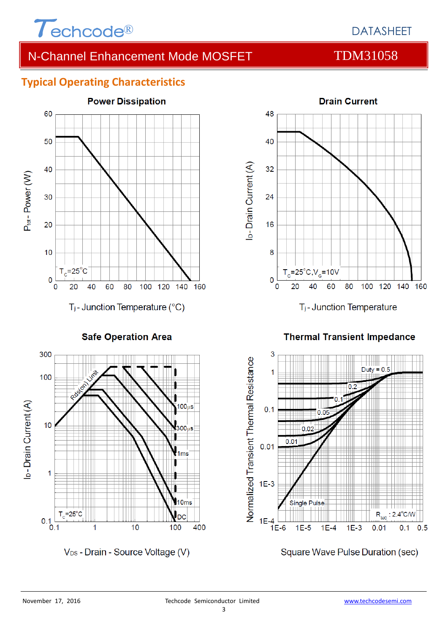

# **Typical Operating Characteristics**



**Safe Operation Area** 



V<sub>DS</sub> - Drain - Source Voltage (V)



T<sub>j</sub>-Junction Temperature

**Thermal Transient Impedance** 



Square Wave Pulse Duration (sec)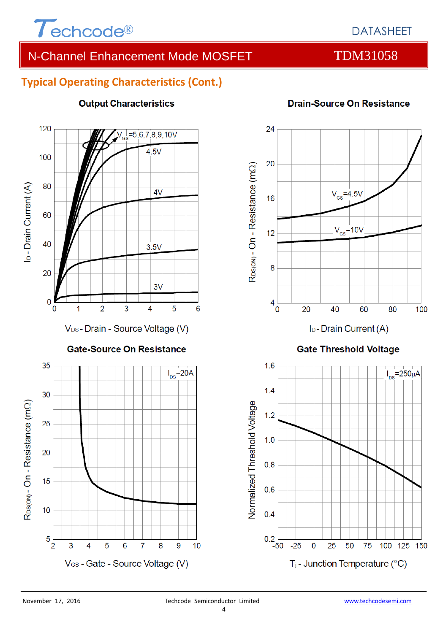

# **Typical Operating Characteristics (Cont.)**



### **Output Characteristics**

# **Drain-Source On Resistance**



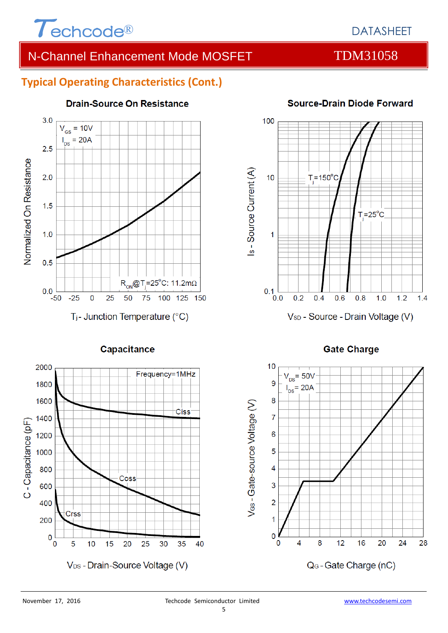

## **Typical Operating Characteristics (Cont.)**



### **Drain-Source On Resistance**



### **Source-Drain Diode Forward**

### **Gate Charge**

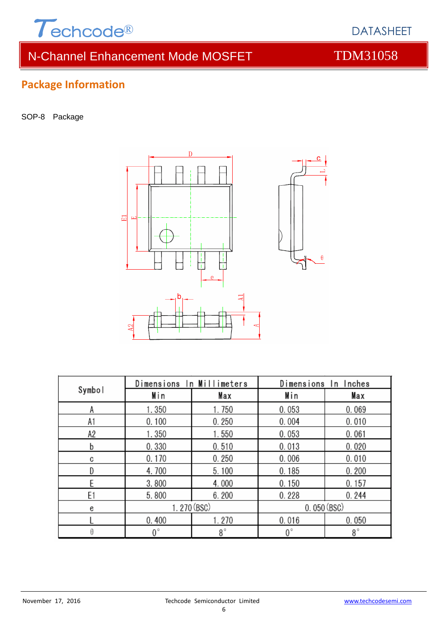

# **Package Information**

SOP-8 Package



|        | Dimensions In Millimeters |           | Dimensions In Inches |             |  |
|--------|---------------------------|-----------|----------------------|-------------|--|
| Symbol | Min                       | Max       | Min                  | Max         |  |
| Α      | 1.350                     | 1.750     | 0.053                | 0.069       |  |
| A1     | 0.100                     | 0.250     | 0.004                | 0.010       |  |
| A2     | 1.350                     | 1.550     | 0.053                | 0.061       |  |
| b      | 0.330                     | 0.510     | 0.013                | 0.020       |  |
| C      | 0.170                     | 0.250     | 0.006                | 0.010       |  |
| D      | 4.700                     | 5.100     | 0.185                | 0.200       |  |
| F      | 3.800                     | 4.000     | 0.150                | 0.157       |  |
| E1     | 5.800                     | 6.200     | 0.228                | 0.244       |  |
| e      | 1.270 (BSC)               |           | 0.050(BSC)           |             |  |
|        | 0.400                     | 1.270     | 0.016                | 0.050       |  |
|        | 0°                        | $8^\circ$ | $0^{\circ}$          | $8^{\circ}$ |  |